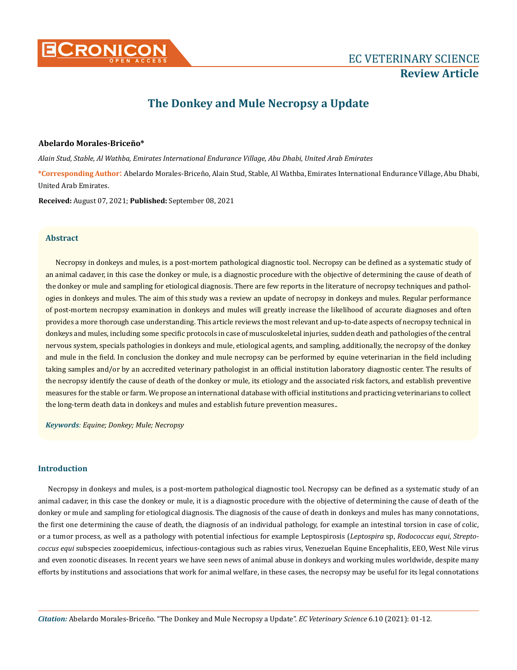

# **The Donkey and Mule Necropsy a Update**

# **Abelardo Morales-Briceño\***

*Alain Stud, Stable, Al Wathba, Emirates International Endurance Village, Abu Dhabi, United Arab Emirates*

**\*Corresponding Author**: Abelardo Morales-Briceño, Alain Stud, Stable, Al Wathba, Emirates International Endurance Village, Abu Dhabi, United Arab Emirates.

**Received:** August 07, 2021; **Published:** September 08, 2021

## **Abstract**

Necropsy in donkeys and mules, is a post-mortem pathological diagnostic tool. Necropsy can be defined as a systematic study of an animal cadaver, in this case the donkey or mule, is a diagnostic procedure with the objective of determining the cause of death of the donkey or mule and sampling for etiological diagnosis. There are few reports in the literature of necropsy techniques and pathologies in donkeys and mules. The aim of this study was a review an update of necropsy in donkeys and mules. Regular performance of post-mortem necropsy examination in donkeys and mules will greatly increase the likelihood of accurate diagnoses and often provides a more thorough case understanding. This article reviews the most relevant and up-to-date aspects of necropsy technical in donkeys and mules, including some specific protocols in case of musculoskeletal injuries, sudden death and pathologies of the central nervous system, specials pathologies in donkeys and mule, etiological agents, and sampling, additionally, the necropsy of the donkey and mule in the field. In conclusion the donkey and mule necropsy can be performed by equine veterinarian in the field including taking samples and/or by an accredited veterinary pathologist in an official institution laboratory diagnostic center. The results of the necropsy identify the cause of death of the donkey or mule, its etiology and the associated risk factors, and establish preventive measures for the stable or farm. We propose an international database with official institutions and practicing veterinarians to collect the long-term death data in donkeys and mules and establish future prevention measures..

*Keywords: Equine; Donkey; Mule; Necropsy*

## **Introduction**

Necropsy in donkeys and mules, is a post-mortem pathological diagnostic tool. Necropsy can be defined as a systematic study of an animal cadaver, in this case the donkey or mule, it is a diagnostic procedure with the objective of determining the cause of death of the donkey or mule and sampling for etiological diagnosis. The diagnosis of the cause of death in donkeys and mules has many connotations, the first one determining the cause of death, the diagnosis of an individual pathology, for example an intestinal torsion in case of colic, or a tumor process, as well as a pathology with potential infectious for example Leptospirosis (*Leptospira* sp, *Rodococcus equi*, *Streptococcus equi* subspecies zooepidemicus, infectious-contagious such as rabies virus, Venezuelan Equine Encephalitis, EEO, West Nile virus and even zoonotic diseases. In recent years we have seen news of animal abuse in donkeys and working mules worldwide, despite many efforts by institutions and associations that work for animal welfare, in these cases, the necropsy may be useful for its legal connotations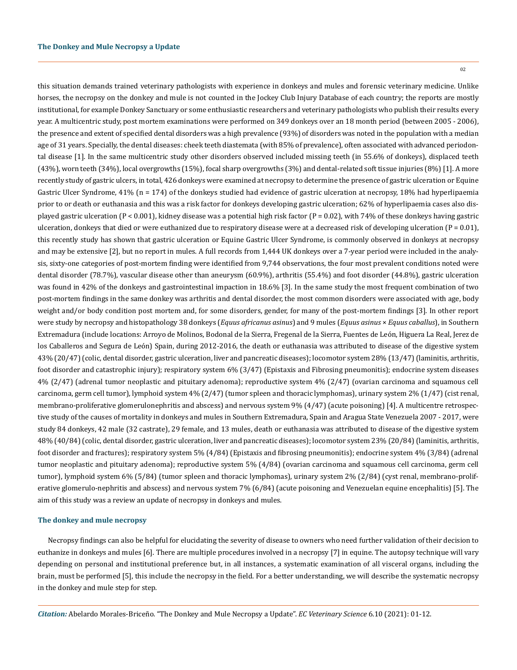this situation demands trained veterinary pathologists with experience in donkeys and mules and forensic veterinary medicine. Unlike horses, the necropsy on the donkey and mule is not counted in the Jockey Club Injury Database of each country; the reports are mostly institutional, for example Donkey Sanctuary or some enthusiastic researchers and veterinary pathologists who publish their results every year. A multicentric study, post mortem examinations were performed on 349 donkeys over an 18 month period (between 2005 - 2006), the presence and extent of specified dental disorders was a high prevalence (93%) of disorders was noted in the population with a median age of 31 years. Specially, the dental diseases: cheek teeth diastemata (with 85% of prevalence), often associated with advanced periodontal disease [1]. In the same multicentric study other disorders observed included missing teeth (in 55.6% of donkeys), displaced teeth (43%), worn teeth (34%), local overgrowths (15%), focal sharp overgrowths (3%) and dental-related soft tissue injuries (8%) [1]. A more recently study of gastric ulcers, in total, 426 donkeys were examined at necropsy to determine the presence of gastric ulceration or Equine Gastric Ulcer Syndrome, 41% (n = 174) of the donkeys studied had evidence of gastric ulceration at necropsy, 18% had hyperlipaemia prior to or death or euthanasia and this was a risk factor for donkeys developing gastric ulceration; 62% of hyperlipaemia cases also displayed gastric ulceration (P < 0.001), kidney disease was a potential high risk factor (P = 0.02), with 74% of these donkeys having gastric ulceration, donkeys that died or were euthanized due to respiratory disease were at a decreased risk of developing ulceration  $(P = 0.01)$ , this recently study has shown that gastric ulceration or Equine Gastric Ulcer Syndrome, is commonly observed in donkeys at necropsy and may be extensive [2], but no report in mules. A full records from 1,444 UK donkeys over a 7-year period were included in the analysis, sixty-one categories of post-mortem finding were identified from 9,744 observations, the four most prevalent conditions noted were dental disorder (78.7%), vascular disease other than aneurysm (60.9%), arthritis (55.4%) and foot disorder (44.8%), gastric ulceration was found in 42% of the donkeys and gastrointestinal impaction in 18.6% [3]. In the same study the most frequent combination of two post-mortem findings in the same donkey was arthritis and dental disorder, the most common disorders were associated with age, body weight and/or body condition post mortem and, for some disorders, gender, for many of the post-mortem findings [3]. In other report were study by necropsy and histopathology 38 donkeys (*Equus africanus asinus*) and 9 mules (*Equus asinus* × *Equus caballus*), in Southern Extremadura (include locations: Arroyo de Molinos, Bodonal de la Sierra, Fregenal de la Sierra, Fuentes de León, Higuera La Real, Jerez de los Caballeros and Segura de León) Spain, during 2012-2016, the death or euthanasia was attributed to disease of the digestive system 43% (20/47) (colic, dental disorder, gastric ulceration, liver and pancreatic diseases); locomotor system 28% (13/47) (laminitis, arthritis, foot disorder and catastrophic injury); respiratory system 6% (3/47) (Epistaxis and Fibrosing pneumonitis); endocrine system diseases 4% (2/47) (adrenal tumor neoplastic and pituitary adenoma); reproductive system 4% (2/47) (ovarian carcinoma and squamous cell carcinoma, germ cell tumor), lymphoid system 4% (2/47) (tumor spleen and thoracic lymphomas), urinary system 2% (1/47) (cist renal, membrano-proliferative glomerulonephritis and abscess) and nervous system 9% (4/47) (acute poisoning) [4]. A multicentre retrospective study of the causes of mortality in donkeys and mules in Southern Extremadura, Spain and Aragua State Venezuela 2007 - 2017, were study 84 donkeys, 42 male (32 castrate), 29 female, and 13 mules, death or euthanasia was attributed to disease of the digestive system 48% (40/84) (colic, dental disorder, gastric ulceration, liver and pancreatic diseases); locomotor system 23% (20/84) (laminitis, arthritis, foot disorder and fractures); respiratory system 5% (4/84) (Epistaxis and fibrosing pneumonitis); endocrine system 4% (3/84) (adrenal tumor neoplastic and pituitary adenoma); reproductive system 5% (4/84) (ovarian carcinoma and squamous cell carcinoma, germ cell tumor), lymphoid system 6% (5/84) (tumor spleen and thoracic lymphomas), urinary system 2% (2/84) (cyst renal, membrano-proliferative glomerulo-nephritis and abscess) and nervous system 7% (6/84) (acute poisoning and Venezuelan equine encephalitis) [5]. The aim of this study was a review an update of necropsy in donkeys and mules.

## **The donkey and mule necropsy**

Necropsy findings can also be helpful for elucidating the severity of disease to owners who need further validation of their decision to euthanize in donkeys and mules [6]. There are multiple procedures involved in a necropsy [7] in equine. The autopsy technique will vary depending on personal and institutional preference but, in all instances, a systematic examination of all visceral organs, including the brain, must be performed [5], this include the necropsy in the field. For a better understanding, we will describe the systematic necropsy in the donkey and mule step for step.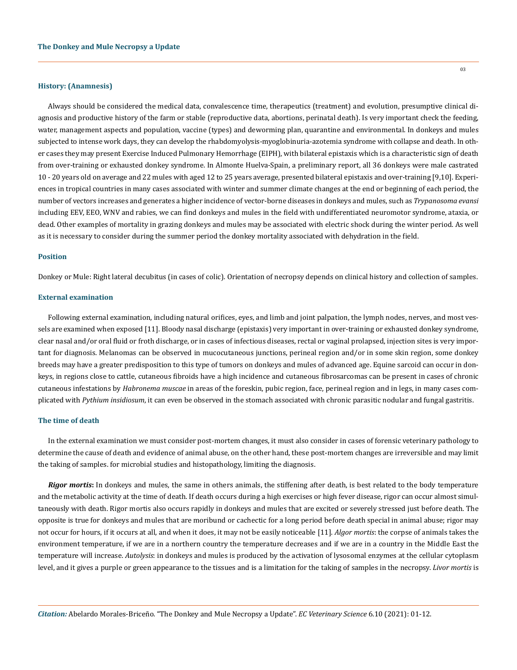#### **History: (Anamnesis)**

Always should be considered the medical data, convalescence time, therapeutics (treatment) and evolution, presumptive clinical diagnosis and productive history of the farm or stable (reproductive data, abortions, perinatal death). Is very important check the feeding, water, management aspects and population, vaccine (types) and deworming plan, quarantine and environmental. In donkeys and mules subjected to intense work days, they can develop the rhabdomyolysis-myoglobinuria-azotemia syndrome with collapse and death. In other cases they may present Exercise Induced Pulmonary Hemorrhage (EIPH), with bilateral epistaxis which is a characteristic sign of death from over-training or exhausted donkey syndrome. In Almonte Huelva-Spain, a preliminary report, all 36 donkeys were male castrated 10 - 20 years old on average and 22 mules with aged 12 to 25 years average, presented bilateral epistaxis and over-training [9,10]. Experiences in tropical countries in many cases associated with winter and summer climate changes at the end or beginning of each period, the number of vectors increases and generates a higher incidence of vector-borne diseases in donkeys and mules, such as *Trypanosoma evansi* including EEV, EEO, WNV and rabies, we can find donkeys and mules in the field with undifferentiated neuromotor syndrome, ataxia, or dead. Other examples of mortality in grazing donkeys and mules may be associated with electric shock during the winter period. As well as it is necessary to consider during the summer period the donkey mortality associated with dehydration in the field.

#### **Position**

Donkey or Mule: Right lateral decubitus (in cases of colic). Orientation of necropsy depends on clinical history and collection of samples.

## **External examination**

Following external examination, including natural orifices, eyes, and limb and joint palpation, the lymph nodes, nerves, and most vessels are examined when exposed [11]. Bloody nasal discharge (epistaxis) very important in over-training or exhausted donkey syndrome, clear nasal and/or oral fluid or froth discharge, or in cases of infectious diseases, rectal or vaginal prolapsed, injection sites is very important for diagnosis. Melanomas can be observed in mucocutaneous junctions, perineal region and/or in some skin region, some donkey breeds may have a greater predisposition to this type of tumors on donkeys and mules of advanced age. Equine sarcoid can occur in donkeys, in regions close to cattle, cutaneous fibroids have a high incidence and cutaneous fibrosarcomas can be present in cases of chronic cutaneous infestations by *Habronema muscae* in areas of the foreskin, pubic region, face, perineal region and in legs, in many cases complicated with *Pythium insidiosum*, it can even be observed in the stomach associated with chronic parasitic nodular and fungal gastritis.

## **The time of death**

In the external examination we must consider post-mortem changes, it must also consider in cases of forensic veterinary pathology to determine the cause of death and evidence of animal abuse, on the other hand, these post-mortem changes are irreversible and may limit the taking of samples. for microbial studies and histopathology, limiting the diagnosis.

*Rigor mortis***:** In donkeys and mules, the same in others animals, the stiffening after death, is best related to the body temperature and the metabolic activity at the time of death. If death occurs during a high exercises or high fever disease, rigor can occur almost simultaneously with death. Rigor mortis also occurs rapidly in donkeys and mules that are excited or severely stressed just before death. The opposite is true for donkeys and mules that are moribund or cachectic for a long period before death special in animal abuse; rigor may not occur for hours, if it occurs at all, and when it does, it may not be easily noticeable [11]. *Algor mortis*: the corpse of animals takes the environment temperature, if we are in a northern country the temperature decreases and if we are in a country in the Middle East the temperature will increase. *Autolysis*: in donkeys and mules is produced by the activation of lysosomal enzymes at the cellular cytoplasm level, and it gives a purple or green appearance to the tissues and is a limitation for the taking of samples in the necropsy. *Livor mortis* is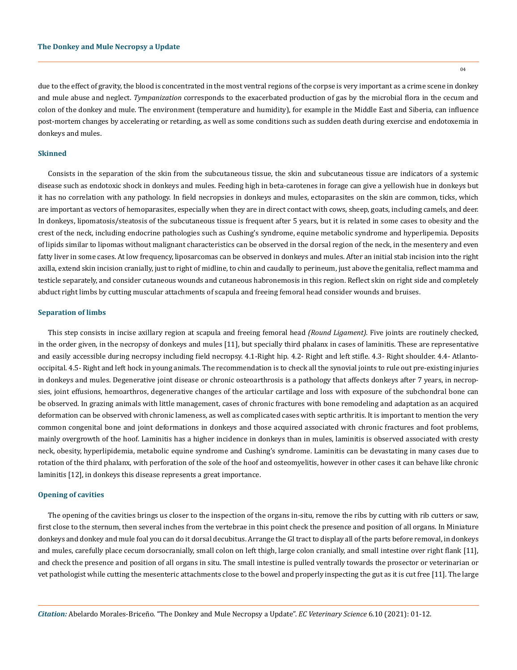due to the effect of gravity, the blood is concentrated in the most ventral regions of the corpse is very important as a crime scene in donkey and mule abuse and neglect. *Tympanization* corresponds to the exacerbated production of gas by the microbial flora in the cecum and colon of the donkey and mule. The environment (temperature and humidity), for example in the Middle East and Siberia, can influence post-mortem changes by accelerating or retarding, as well as some conditions such as sudden death during exercise and endotoxemia in donkeys and mules.

#### **Skinned**

Consists in the separation of the skin from the subcutaneous tissue, the skin and subcutaneous tissue are indicators of a systemic disease such as endotoxic shock in donkeys and mules. Feeding high in beta-carotenes in forage can give a yellowish hue in donkeys but it has no correlation with any pathology. In field necropsies in donkeys and mules, ectoparasites on the skin are common, ticks, which are important as vectors of hemoparasites, especially when they are in direct contact with cows, sheep, goats, including camels, and deer. In donkeys, lipomatosis/steatosis of the subcutaneous tissue is frequent after 5 years, but it is related in some cases to obesity and the crest of the neck, including endocrine pathologies such as Cushing's syndrome, equine metabolic syndrome and hyperlipemia. Deposits of lipids similar to lipomas without malignant characteristics can be observed in the dorsal region of the neck, in the mesentery and even fatty liver in some cases. At low frequency, liposarcomas can be observed in donkeys and mules. After an initial stab incision into the right axilla, extend skin incision cranially, just to right of midline, to chin and caudally to perineum, just above the genitalia, reflect mamma and testicle separately, and consider cutaneous wounds and cutaneous habronemosis in this region. Reflect skin on right side and completely abduct right limbs by cutting muscular attachments of scapula and freeing femoral head consider wounds and bruises.

#### **Separation of limbs**

This step consists in incise axillary region at scapula and freeing femoral head *(Round Ligament).* Five joints are routinely checked, in the order given, in the necropsy of donkeys and mules [11], but specially third phalanx in cases of laminitis. These are representative and easily accessible during necropsy including field necropsy. 4.1-Right hip. 4.2- Right and left stifle. 4.3- Right shoulder. 4.4- Atlantooccipital. 4.5- Right and left hock in young animals. The recommendation is to check all the synovial joints to rule out pre-existing injuries in donkeys and mules. Degenerative joint disease or chronic osteoarthrosis is a pathology that affects donkeys after 7 years, in necropsies, joint effusions, hemoarthros, degenerative changes of the articular cartilage and loss with exposure of the subchondral bone can be observed. In grazing animals with little management, cases of chronic fractures with bone remodeling and adaptation as an acquired deformation can be observed with chronic lameness, as well as complicated cases with septic arthritis. It is important to mention the very common congenital bone and joint deformations in donkeys and those acquired associated with chronic fractures and foot problems, mainly overgrowth of the hoof. Laminitis has a higher incidence in donkeys than in mules, laminitis is observed associated with cresty neck, obesity, hyperlipidemia, metabolic equine syndrome and Cushing's syndrome. Laminitis can be devastating in many cases due to rotation of the third phalanx, with perforation of the sole of the hoof and osteomyelitis, however in other cases it can behave like chronic laminitis [12], in donkeys this disease represents a great importance.

#### **Opening of cavities**

The opening of the cavities brings us closer to the inspection of the organs in-situ, remove the ribs by cutting with rib cutters or saw, first close to the sternum, then several inches from the vertebrae in this point check the presence and position of all organs. In Miniature donkeys and donkey and mule foal you can do it dorsal decubitus. Arrange the GI tract to display all of the parts before removal, in donkeys and mules, carefully place cecum dorsocranially, small colon on left thigh, large colon cranially, and small intestine over right flank [11], and check the presence and position of all organs in situ. The small intestine is pulled ventrally towards the prosector or veterinarian or vet pathologist while cutting the mesenteric attachments close to the bowel and properly inspecting the gut as it is cut free [11]. The large

*Citation:* Abelardo Morales-Briceño*.* "The Donkey and Mule Necropsy a Update". *EC Veterinary Science* 6.10 (2021): 01-12.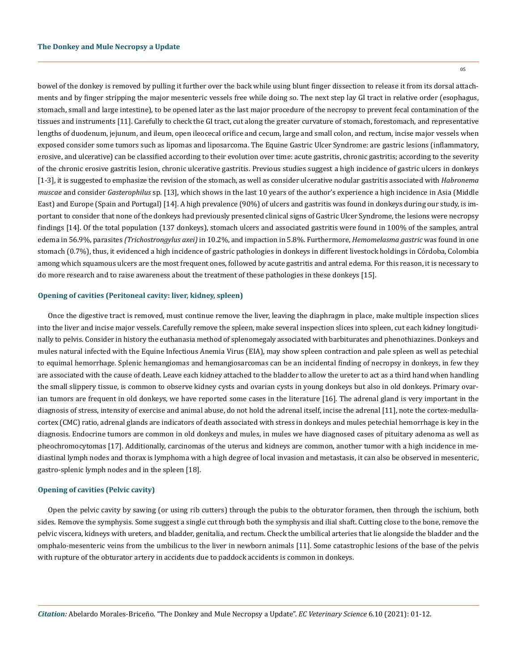bowel of the donkey is removed by pulling it further over the back while using blunt finger dissection to release it from its dorsal attachments and by finger stripping the major mesenteric vessels free while doing so. The next step lay GI tract in relative order (esophagus, stomach, small and large intestine), to be opened later as the last major procedure of the necropsy to prevent fecal contamination of the tissues and instruments [11]. Carefully to check the GI tract, cut along the greater curvature of stomach, forestomach, and representative lengths of duodenum, jejunum, and ileum, open ileocecal orifice and cecum, large and small colon, and rectum, incise major vessels when exposed consider some tumors such as lipomas and liposarcoma. The Equine Gastric Ulcer Syndrome: are gastric lesions (inflammatory, erosive, and ulcerative) can be classified according to their evolution over time: acute gastritis, chronic gastritis; according to the severity of the chronic erosive gastritis lesion, chronic ulcerative gastritis. Previous studies suggest a high incidence of gastric ulcers in donkeys [1-3], it is suggested to emphasize the revision of the stomach, as well as consider ulcerative nodular gastritis associated with *Habronema muscae* and consider *Gasterophilus* sp. [13], which shows in the last 10 years of the author's experience a high incidence in Asia (Middle East) and Europe (Spain and Portugal) [14]. A high prevalence (90%) of ulcers and gastritis was found in donkeys during our study, is important to consider that none of the donkeys had previously presented clinical signs of Gastric Ulcer Syndrome, the lesions were necropsy findings [14]. Of the total population (137 donkeys), stomach ulcers and associated gastritis were found in 100% of the samples, antral edema in 56.9%, parasites *(Trichostrongylus axei)* in 10.2%, and impaction in 5.8%. Furthermore, *Hemomelasma gastric* was found in one stomach (0.7%), thus, it evidenced a high incidence of gastric pathologies in donkeys in different livestock holdings in Córdoba, Colombia among which squamous ulcers are the most frequent ones, followed by acute gastritis and antral edema. For this reason, it is necessary to do more research and to raise awareness about the treatment of these pathologies in these donkeys [15].

## **Opening of cavities (Peritoneal cavity: liver, kidney, spleen)**

Once the digestive tract is removed, must continue remove the liver, leaving the diaphragm in place, make multiple inspection slices into the liver and incise major vessels. Carefully remove the spleen, make several inspection slices into spleen, cut each kidney longitudinally to pelvis. Consider in history the euthanasia method of splenomegaly associated with barbiturates and phenothiazines. Donkeys and mules natural infected with the Equine Infectious Anemia Virus (EIA), may show spleen contraction and pale spleen as well as petechial to equimal hemorrhage. Splenic hemangiomas and hemangiosarcomas can be an incidental finding of necropsy in donkeys, in few they are associated with the cause of death. Leave each kidney attached to the bladder to allow the ureter to act as a third hand when handling the small slippery tissue, is common to observe kidney cysts and ovarian cysts in young donkeys but also in old donkeys. Primary ovarian tumors are frequent in old donkeys, we have reported some cases in the literature [16]. The adrenal gland is very important in the diagnosis of stress, intensity of exercise and animal abuse, do not hold the adrenal itself, incise the adrenal [11], note the cortex-medullacortex (CMC) ratio, adrenal glands are indicators of death associated with stress in donkeys and mules petechial hemorrhage is key in the diagnosis. Endocrine tumors are common in old donkeys and mules, in mules we have diagnosed cases of pituitary adenoma as well as pheochromocytomas [17]. Additionally, carcinomas of the uterus and kidneys are common, another tumor with a high incidence in mediastinal lymph nodes and thorax is lymphoma with a high degree of local invasion and metastasis, it can also be observed in mesenteric, gastro-splenic lymph nodes and in the spleen [18].

## **Opening of cavities (Pelvic cavity)**

Open the pelvic cavity by sawing (or using rib cutters) through the pubis to the obturator foramen, then through the ischium, both sides. Remove the symphysis. Some suggest a single cut through both the symphysis and ilial shaft. Cutting close to the bone, remove the pelvic viscera, kidneys with ureters, and bladder, genitalia, and rectum. Check the umbilical arteries that lie alongside the bladder and the omphalo-mesenteric veins from the umbilicus to the liver in newborn animals [11]. Some catastrophic lesions of the base of the pelvis with rupture of the obturator artery in accidents due to paddock accidents is common in donkeys.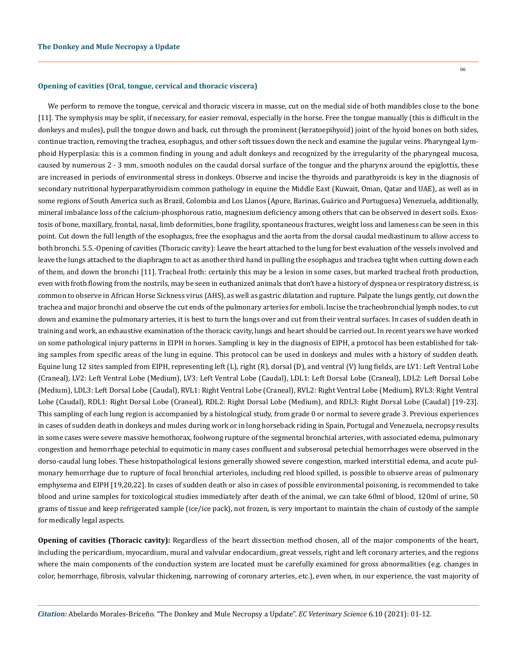#### **Opening of cavities (Oral, tongue, cervical and thoracic viscera)**

We perform to remove the tongue, cervical and thoracic viscera in masse, cut on the medial side of both mandibles close to the bone [11]. The symphysis may be split, if necessary, for easier removal, especially in the horse. Free the tongue manually (this is difficult in the donkeys and mules), pull the tongue down and back, cut through the prominent (keratoepihyoid) joint of the hyoid bones on both sides, continue traction, removing the trachea, esophagus, and other soft tissues down the neck and examine the jugular veins. Pharyngeal Lymphoid Hyperplasia: this is a common finding in young and adult donkeys and recognized by the irregularity of the pharyngeal mucosa, caused by numerous 2 - 3 mm, smooth nodules on the caudal dorsal surface of the tongue and the pharynx around the epiglottis, these are increased in periods of environmental stress in donkeys. Observe and incise the thyroids and parathyroids is key in the diagnosis of secondary nutritional hyperparathyroidism common pathology in equine the Middle East (Kuwait, Oman, Qatar and UAE), as well as in some regions of South America such as Brazil, Colombia and Los Llanos (Apure, Barinas, Guárico and Portuguesa) Venezuela, additionally, mineral imbalance loss of the calcium-phosphorous ratio, magnesium deficiency among others that can be observed in desert soils. Exostosis of bone, maxillary, frontal, nasal, limb deformities, bone fragility, spontaneous fractures, weight loss and lameness can be seen in this point. Cut down the full length of the esophagus, free the esophagus and the aorta from the dorsal caudal mediastinum to allow access to both bronchi. 5.5.-Opening of cavities (Thoracic cavity): Leave the heart attached to the lung for best evaluation of the vessels involved and leave the lungs attached to the diaphragm to act as another third hand in pulling the esophagus and trachea tight when cutting down each of them, and down the bronchi [11]. Tracheal froth: certainly this may be a lesion in some cases, but marked tracheal froth production, even with froth flowing from the nostrils, may be seen in euthanized animals that don't have a history of dyspnea or respiratory distress, is common to observe in African Horse Sickness virus (AHS), as well as gastric dilatation and rupture. Palpate the lungs gently, cut down the trachea and major bronchi and observe the cut ends of the pulmonary arteries for emboli. Incise the tracheobronchial lymph nodes, to cut down and examine the pulmonary arteries, it is best to turn the lungs over and cut from their ventral surfaces. In cases of sudden death in training and work, an exhaustive examination of the thoracic cavity, lungs and heart should be carried out. In recent years we have worked on some pathological injury patterns in EIPH in horses. Sampling is key in the diagnosis of EIPH, a protocol has been established for taking samples from specific areas of the lung in equine. This protocol can be used in donkeys and mules with a history of sudden death. Equine lung 12 sites sampled from EIPH, representing left (L), right (R), dorsal (D), and ventral (V) lung fields, are LV1: Left Ventral Lobe (Craneal), LV2: Left Ventral Lobe (Medium), LV3: Left Ventral Lobe (Caudal), LDL1: Left Dorsal Lobe (Craneal), LDL2: Left Dorsal Lobe (Medium), LDL3: Left Dorsal Lobe (Caudal), RVL1: Right Ventral Lobe (Craneal), RVL2: Right Ventral Lobe (Medium), RVL3: Right Ventral Lobe (Caudal), RDL1: Right Dorsal Lobe (Craneal), RDL2: Right Dorsal Lobe (Medium), and RDL3: Right Dorsal Lobe (Caudal) [19-23]. This sampling of each lung region is accompanied by a histological study, from grade 0 or normal to severe grade 3. Previous experiences in cases of sudden death in donkeys and mules during work or in long horseback riding in Spain, Portugal and Venezuela, necropsy results in some cases were severe massive hemothorax, foolwong rupture of the segmental bronchial arteries, with associated edema, pulmonary congestion and hemorrhage petechial to equimotic in many cases confluent and subserosal petechial hemorrhages were observed in the dorso-caudal lung lobes. These histopathological lesions generally showed severe congestion, marked interstitial edema, and acute pulmonary hemorrhage due to rupture of focal bronchial arterioles, including red blood spilled, is possible to observe areas of pulmonary emphysema and EIPH [19,20,22]. In cases of sudden death or also in cases of possible environmental poisoning, is recommended to take blood and urine samples for toxicological studies immediately after death of the animal, we can take 60ml of blood, 120ml of urine, 50 grams of tissue and keep refrigerated sample (ice/ice pack), not frozen, is very important to maintain the chain of custody of the sample for medically legal aspects.

**Opening of cavities (Thoracic cavity):** Regardless of the heart dissection method chosen, all of the major components of the heart, including the pericardium, myocardium, mural and valvular endocardium, great vessels, right and left coronary arteries, and the regions where the main components of the conduction system are located must be carefully examined for gross abnormalities (e.g. changes in color, hemorrhage, fibrosis, valvular thickening, narrowing of coronary arteries, etc.), even when, in our experience, the vast majority of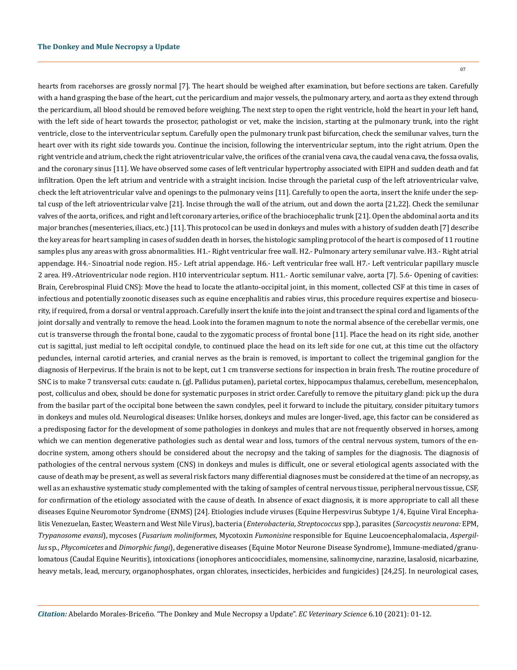hearts from racehorses are grossly normal [7]. The heart should be weighed after examination, but before sections are taken. Carefully with a hand grasping the base of the heart, cut the pericardium and major vessels, the pulmonary artery, and aorta as they extend through the pericardium, all blood should be removed before weighing. The next step to open the right ventricle, hold the heart in your left hand, with the left side of heart towards the prosector, pathologist or vet, make the incision, starting at the pulmonary trunk, into the right ventricle, close to the interventricular septum. Carefully open the pulmonary trunk past bifurcation, check the semilunar valves, turn the heart over with its right side towards you. Continue the incision, following the interventricular septum, into the right atrium. Open the right ventricle and atrium, check the right atrioventricular valve, the orifices of the cranial vena cava, the caudal vena cava, the fossa ovalis, and the coronary sinus [11]. We have observed some cases of left ventricular hypertrophy associated with EIPH and sudden death and fat infiltration. Open the left atrium and ventricle with a straight incision. Incise through the parietal cusp of the left atrioventricular valve, check the left atrioventricular valve and openings to the pulmonary veins [11]. Carefully to open the aorta, insert the knife under the septal cusp of the left atrioventricular valve [21]. Incise through the wall of the atrium, out and down the aorta [21,22]. Check the semilunar valves of the aorta, orifices, and right and left coronary arteries, orifice of the brachiocephalic trunk [21]. Open the abdominal aorta and its major branches (mesenteries, iliacs, etc.) [11]. This protocol can be used in donkeys and mules with a history of sudden death [7] describe the key areas for heart sampling in cases of sudden death in horses, the histologic sampling protocol of the heart is composed of 11 routine samples plus any areas with gross abnormalities. H1.- Right ventricular free wall. H2.- Pulmonary artery semilunar valve. H3.- Right atrial appendage. H4.- Sinoatrial node region. H5.- Left atrial appendage. H6.- Left ventricular free wall. H7.- Left ventricular papillary muscle 2 area. H9.-Atrioventricular node region. H10 interventricular septum. H11.- Aortic semilunar valve, aorta [7]. 5.6- Opening of cavities: Brain, Cerebrospinal Fluid CNS): Move the head to locate the atlanto-occipital joint, in this moment, collected CSF at this time in cases of infectious and potentially zoonotic diseases such as equine encephalitis and rabies virus, this procedure requires expertise and biosecurity, if required, from a dorsal or ventral approach. Carefully insert the knife into the joint and transect the spinal cord and ligaments of the joint dorsally and ventrally to remove the head. Look into the foramen magnum to note the normal absence of the cerebellar vermis, one cut is transverse through the frontal bone, caudal to the zygomatic process of frontal bone [11]. Place the head on its right side, another cut is sagittal, just medial to left occipital condyle, to continued place the head on its left side for one cut, at this time cut the olfactory peduncles, internal carotid arteries, and cranial nerves as the brain is removed, is important to collect the trigeminal ganglion for the diagnosis of Herpevirus. If the brain is not to be kept, cut 1 cm transverse sections for inspection in brain fresh. The routine procedure of SNC is to make 7 transversal cuts: caudate n. (gl. Pallidus putamen), parietal cortex, hippocampus thalamus, cerebellum, mesencephalon, post, colliculus and obex, should be done for systematic purposes in strict order. Carefully to remove the pituitary gland: pick up the dura from the basilar part of the occipital bone between the sawn condyles, peel it forward to include the pituitary, consider pituitary tumors in donkeys and mules old. Neurological diseases: Unlike horses, donkeys and mules are longer-lived, age, this factor can be considered as a predisposing factor for the development of some pathologies in donkeys and mules that are not frequently observed in horses, among which we can mention degenerative pathologies such as dental wear and loss, tumors of the central nervous system, tumors of the endocrine system, among others should be considered about the necropsy and the taking of samples for the diagnosis. The diagnosis of pathologies of the central nervous system (CNS) in donkeys and mules is difficult, one or several etiological agents associated with the cause of death may be present, as well as several risk factors many differential diagnoses must be considered at the time of an necropsy, as well as an exhaustive systematic study complemented with the taking of samples of central nervous tissue, peripheral nervous tissue, CSF, for confirmation of the etiology associated with the cause of death. In absence of exact diagnosis, it is more appropriate to call all these diseases Equine Neuromotor Syndrome (ENMS) [24]. Etiologies include viruses (Equine Herpesvirus Subtype 1/4, Equine Viral Encephalitis Venezuelan, Easter, Weastern and West Nile Virus), bacteria (*Enterobacteria*, *Streptococcus* spp.), parasites (*Sarcocystis neurona:* EPM, *Trypanosome evansi*), mycoses (*Fusarium moliniformes*, Mycotoxin *Fumonisine* responsible for Equine Leucoencephalomalacia, *Aspergillus* sp., *Phycomicetes* and *Dimorphic fungi*), degenerative diseases (Equine Motor Neurone Disease Syndrome), Immune-mediated/granulomatous (Caudal Equine Neuritis), intoxications (ionophores anticoccidiales, momensine, salinomycine, narazine, lasalosid, nicarbazine, heavy metals, lead, mercury, organophosphates, organ chlorates, insecticides, herbicides and fungicides) [24,25]. In neurological cases,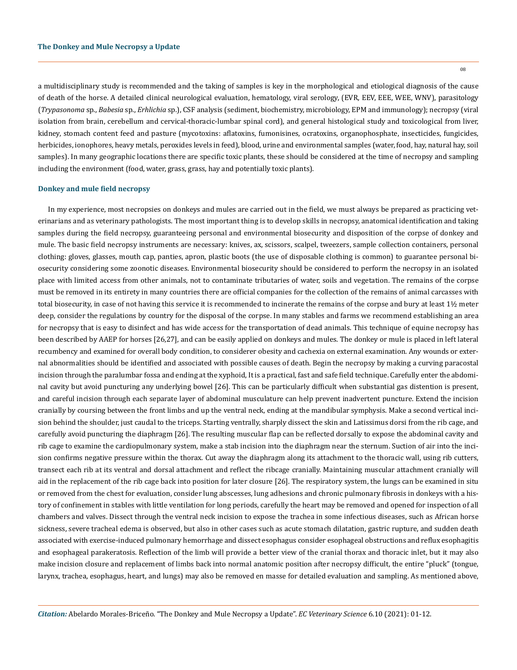a multidisciplinary study is recommended and the taking of samples is key in the morphological and etiological diagnosis of the cause of death of the horse. A detailed clinical neurological evaluation, hematology, viral serology, (EVR, EEV, EEE, WEE, WNV), parasitology (*Trypasonoma* sp., *Babesia* sp., *Erhlichia* sp.), CSF analysis (sediment, biochemistry, microbiology, EPM and immunology); necropsy (viral isolation from brain, cerebellum and cervical-thoracic-lumbar spinal cord), and general histological study and toxicological from liver, kidney, stomach content feed and pasture (mycotoxins: aflatoxins, fumonisines, ocratoxins, organophosphate, insecticides, fungicides, herbicides, ionophores, heavy metals, peroxides levels in feed), blood, urine and environmental samples (water, food, hay, natural hay, soil samples). In many geographic locations there are specific toxic plants, these should be considered at the time of necropsy and sampling including the environment (food, water, grass, grass, hay and potentially toxic plants).

#### **Donkey and mule field necropsy**

In my experience, most necropsies on donkeys and mules are carried out in the field, we must always be prepared as practicing veterinarians and as veterinary pathologists. The most important thing is to develop skills in necropsy, anatomical identification and taking samples during the field necropsy, guaranteeing personal and environmental biosecurity and disposition of the corpse of donkey and mule. The basic field necropsy instruments are necessary: knives, ax, scissors, scalpel, tweezers, sample collection containers, personal clothing: gloves, glasses, mouth cap, panties, apron, plastic boots (the use of disposable clothing is common) to guarantee personal biosecurity considering some zoonotic diseases. Environmental biosecurity should be considered to perform the necropsy in an isolated place with limited access from other animals, not to contaminate tributaries of water, soils and vegetation. The remains of the corpse must be removed in its entirety in many countries there are official companies for the collection of the remains of animal carcasses with total biosecurity, in case of not having this service it is recommended to incinerate the remains of the corpse and bury at least  $1\frac{1}{2}$  meter deep, consider the regulations by country for the disposal of the corpse. In many stables and farms we recommend establishing an area for necropsy that is easy to disinfect and has wide access for the transportation of dead animals. This technique of equine necropsy has been described by AAEP for horses [26,27], and can be easily applied on donkeys and mules. The donkey or mule is placed in left lateral recumbency and examined for overall body condition, to considerer obesity and cachexia on external examination. Any wounds or external abnormalities should be identified and associated with possible causes of death. Begin the necropsy by making a curving paracostal incision through the paralumbar fossa and ending at the xyphoid, It is a practical, fast and safe field technique. Carefully enter the abdominal cavity but avoid puncturing any underlying bowel [26]. This can be particularly difficult when substantial gas distention is present, and careful incision through each separate layer of abdominal musculature can help prevent inadvertent puncture. Extend the incision cranially by coursing between the front limbs and up the ventral neck, ending at the mandibular symphysis. Make a second vertical incision behind the shoulder, just caudal to the triceps. Starting ventrally, sharply dissect the skin and Latissimus dorsi from the rib cage, and carefully avoid puncturing the diaphragm [26]. The resulting muscular flap can be reflected dorsally to expose the abdominal cavity and rib cage to examine the cardiopulmonary system, make a stab incision into the diaphragm near the sternum. Suction of air into the incision confirms negative pressure within the thorax. Cut away the diaphragm along its attachment to the thoracic wall, using rib cutters, transect each rib at its ventral and dorsal attachment and reflect the ribcage cranially. Maintaining muscular attachment cranially will aid in the replacement of the rib cage back into position for later closure [26]. The respiratory system, the lungs can be examined in situ or removed from the chest for evaluation, consider lung abscesses, lung adhesions and chronic pulmonary fibrosis in donkeys with a history of confinement in stables with little ventilation for long periods, carefully the heart may be removed and opened for inspection of all chambers and valves. Dissect through the ventral neck incision to expose the trachea in some infectious diseases, such as African horse sickness, severe tracheal edema is observed, but also in other cases such as acute stomach dilatation, gastric rupture, and sudden death associated with exercise-induced pulmonary hemorrhage and dissect esophagus consider esophageal obstructions and reflux esophagitis and esophageal parakeratosis. Reflection of the limb will provide a better view of the cranial thorax and thoracic inlet, but it may also make incision closure and replacement of limbs back into normal anatomic position after necropsy difficult, the entire "pluck" (tongue, larynx, trachea, esophagus, heart, and lungs) may also be removed en masse for detailed evaluation and sampling. As mentioned above,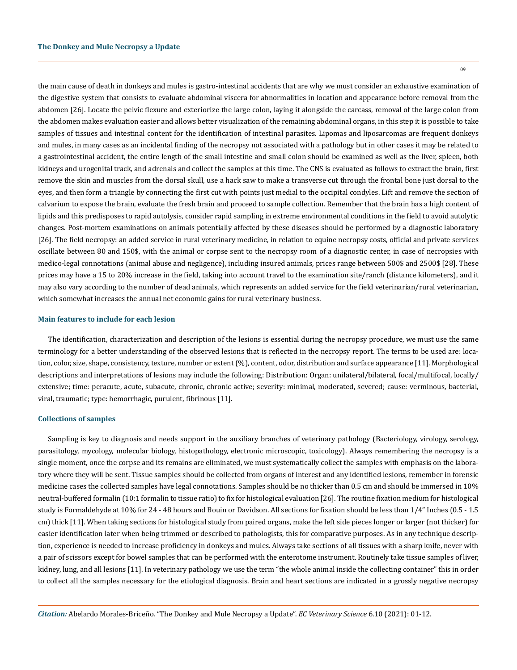the main cause of death in donkeys and mules is gastro-intestinal accidents that are why we must consider an exhaustive examination of the digestive system that consists to evaluate abdominal viscera for abnormalities in location and appearance before removal from the abdomen [26]. Locate the pelvic flexure and exteriorize the large colon, laying it alongside the carcass, removal of the large colon from the abdomen makes evaluation easier and allows better visualization of the remaining abdominal organs, in this step it is possible to take samples of tissues and intestinal content for the identification of intestinal parasites. Lipomas and liposarcomas are frequent donkeys and mules, in many cases as an incidental finding of the necropsy not associated with a pathology but in other cases it may be related to a gastrointestinal accident, the entire length of the small intestine and small colon should be examined as well as the liver, spleen, both kidneys and urogenital track, and adrenals and collect the samples at this time. The CNS is evaluated as follows to extract the brain, first remove the skin and muscles from the dorsal skull, use a hack saw to make a transverse cut through the frontal bone just dorsal to the eyes, and then form a triangle by connecting the first cut with points just medial to the occipital condyles. Lift and remove the section of calvarium to expose the brain, evaluate the fresh brain and proceed to sample collection. Remember that the brain has a high content of lipids and this predisposes to rapid autolysis, consider rapid sampling in extreme environmental conditions in the field to avoid autolytic changes. Post-mortem examinations on animals potentially affected by these diseases should be performed by a diagnostic laboratory [26]. The field necropsy: an added service in rural veterinary medicine, in relation to equine necropsy costs, official and private services oscillate between 80 and 150\$, with the animal or corpse sent to the necropsy room of a diagnostic center, in case of necropsies with medico-legal connotations (animal abuse and negligence), including insured animals, prices range between 500\$ and 2500\$ [28]. These prices may have a 15 to 20% increase in the field, taking into account travel to the examination site/ranch (distance kilometers), and it may also vary according to the number of dead animals, which represents an added service for the field veterinarian/rural veterinarian, which somewhat increases the annual net economic gains for rural veterinary business.

#### **Main features to include for each lesion**

The identification, characterization and description of the lesions is essential during the necropsy procedure, we must use the same terminology for a better understanding of the observed lesions that is reflected in the necropsy report. The terms to be used are: location, color, size, shape, consistency, texture, number or extent (%), content, odor, distribution and surface appearance [11]. Morphological descriptions and interpretations of lesions may include the following: Distribution: Organ: unilateral/bilateral, focal/multifocal, locally/ extensive; time: peracute, acute, subacute, chronic, chronic active; severity: minimal, moderated, severed; cause: verminous, bacterial, viral, traumatic; type: hemorrhagic, purulent, fibrinous [11].

## **Collections of samples**

Sampling is key to diagnosis and needs support in the auxiliary branches of veterinary pathology (Bacteriology, virology, serology, parasitology, mycology, molecular biology, histopathology, electronic microscopic, toxicology). Always remembering the necropsy is a single moment, once the corpse and its remains are eliminated, we must systematically collect the samples with emphasis on the laboratory where they will be sent. Tissue samples should be collected from organs of interest and any identified lesions, remember in forensic medicine cases the collected samples have legal connotations. Samples should be no thicker than 0.5 cm and should be immersed in 10% neutral-buffered formalin (10:1 formalin to tissue ratio) to fix for histological evaluation [26]. The routine fixation medium for histological study is Formaldehyde at 10% for 24 - 48 hours and Bouin or Davidson. All sections for fixation should be less than 1/4" Inches (0.5 - 1.5 cm) thick [11]. When taking sections for histological study from paired organs, make the left side pieces longer or larger (not thicker) for easier identification later when being trimmed or described to pathologists, this for comparative purposes. As in any technique description, experience is needed to increase proficiency in donkeys and mules. Always take sections of all tissues with a sharp knife, never with a pair of scissors except for bowel samples that can be performed with the enterotome instrument. Routinely take tissue samples of liver, kidney, lung, and all lesions [11]. In veterinary pathology we use the term "the whole animal inside the collecting container" this in order to collect all the samples necessary for the etiological diagnosis. Brain and heart sections are indicated in a grossly negative necropsy

09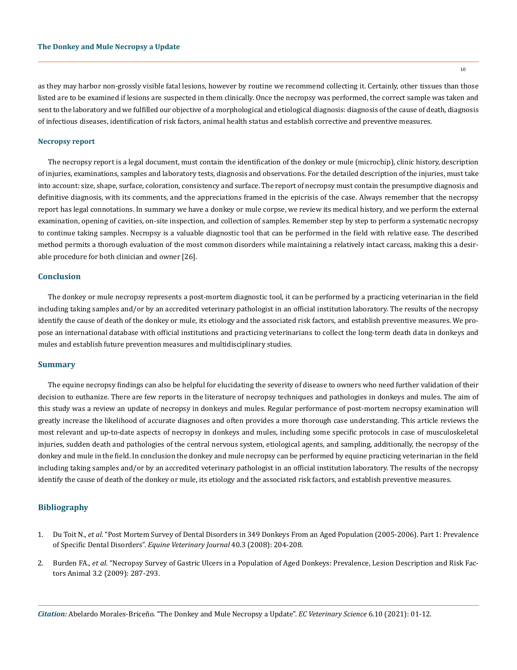as they may harbor non-grossly visible fatal lesions, however by routine we recommend collecting it. Certainly, other tissues than those listed are to be examined if lesions are suspected in them clinically. Once the necropsy was performed, the correct sample was taken and sent to the laboratory and we fulfilled our objective of a morphological and etiological diagnosis: diagnosis of the cause of death, diagnosis of infectious diseases, identification of risk factors, animal health status and establish corrective and preventive measures.

## **Necropsy report**

The necropsy report is a legal document, must contain the identification of the donkey or mule (microchip), clinic history, description of injuries, examinations, samples and laboratory tests, diagnosis and observations. For the detailed description of the injuries, must take into account: size, shape, surface, coloration, consistency and surface. The report of necropsy must contain the presumptive diagnosis and definitive diagnosis, with its comments, and the appreciations framed in the epicrisis of the case. Always remember that the necropsy report has legal connotations. In summary we have a donkey or mule corpse, we review its medical history, and we perform the external examination, opening of cavities, on-site inspection, and collection of samples. Remember step by step to perform a systematic necropsy to continue taking samples. Necropsy is a valuable diagnostic tool that can be performed in the field with relative ease. The described method permits a thorough evaluation of the most common disorders while maintaining a relatively intact carcass, making this a desirable procedure for both clinician and owner [26].

## **Conclusion**

The donkey or mule necropsy represents a post-mortem diagnostic tool, it can be performed by a practicing veterinarian in the field including taking samples and/or by an accredited veterinary pathologist in an official institution laboratory. The results of the necropsy identify the cause of death of the donkey or mule, its etiology and the associated risk factors, and establish preventive measures. We propose an international database with official institutions and practicing veterinarians to collect the long-term death data in donkeys and mules and establish future prevention measures and multidisciplinary studies.

# **Summary**

The equine necropsy findings can also be helpful for elucidating the severity of disease to owners who need further validation of their decision to euthanize. There are few reports in the literature of necropsy techniques and pathologies in donkeys and mules. The aim of this study was a review an update of necropsy in donkeys and mules. Regular performance of post-mortem necropsy examination will greatly increase the likelihood of accurate diagnoses and often provides a more thorough case understanding. This article reviews the most relevant and up-to-date aspects of necropsy in donkeys and mules, including some specific protocols in case of musculoskeletal injuries, sudden death and pathologies of the central nervous system, etiological agents, and sampling, additionally, the necropsy of the donkey and mule in the field. In conclusion the donkey and mule necropsy can be performed by equine practicing veterinarian in the field including taking samples and/or by an accredited veterinary pathologist in an official institution laboratory. The results of the necropsy identify the cause of death of the donkey or mule, its etiology and the associated risk factors, and establish preventive measures.

## **Bibliography**

- 1. Du Toit N., *et al*[. "Post Mortem Survey of Dental Disorders in 349 Donkeys From an Aged Population \(2005-2006\). Part 1: Prevalence](https://pubmed.ncbi.nlm.nih.gov/18096519/)  of Specific Dental Disorders". *[Equine Veterinary Journal](https://pubmed.ncbi.nlm.nih.gov/18096519/)* 40.3 (2008): 204-208.
- 2. Burden FA., *et al*[. "Necropsy Survey of Gastric Ulcers in a Population of Aged Donkeys: Prevalence, Lesion Description and Risk Fac](https://pubmed.ncbi.nlm.nih.gov/22444232/)[tors Animal 3.2 \(2009\): 287-293.](https://pubmed.ncbi.nlm.nih.gov/22444232/)

*Citation:* Abelardo Morales-Briceño*.* "The Donkey and Mule Necropsy a Update". *EC Veterinary Science* 6.10 (2021): 01-12.

10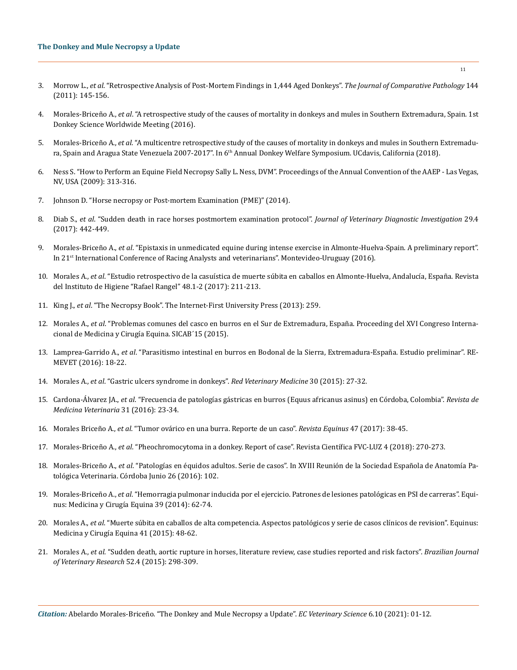- 3. Morrow L., *et al*[. "Retrospective Analysis of Post-Mortem Findings in 1,444 Aged Donkeys".](https://pubmed.ncbi.nlm.nih.gov/20880543/) *The Journal of Comparative Pathology* 144 [\(2011\): 145-156.](https://pubmed.ncbi.nlm.nih.gov/20880543/)
- 4. Morales-Briceño A., *et al*[. "A retrospective study of the causes of mortality in donkeys and mules in Southern Extremadura, Spain. 1st](https://www.researchgate.net/publication/317562054_A_retrospective_study_of_the_causes_of_mortality_in_donkeys_and_mules_in_Southern_Extremadura_Spain)  [Donkey Science Worldwide Meeting \(2016\).](https://www.researchgate.net/publication/317562054_A_retrospective_study_of_the_causes_of_mortality_in_donkeys_and_mules_in_Southern_Extremadura_Spain)
- 5. Morales-Briceño A., *et al*. "A multicentre retrospective study of the causes of mortality in donkeys and mules in Southern Extremadura, Spain and Aragua State Venezuela 2007-2017". In 6<sup>th</sup> Annual Donkey Welfare Symposium. UCdavis, California (2018).
- 6. Ness S. "How to Perform an Equine Field Necropsy Sally L. Ness, DVM". Proceedings of the Annual Convention of the AAEP Las Vegas, NV, USA (2009): 313-316.
- 7. Johnson D. "Horse necropsy or Post-mortem Examination (PME)" (2014).
- 8. Diab S., *et al*[. "Sudden death in race horses postmortem examination protocol".](https://pubmed.ncbi.nlm.nih.gov/28114865/) *Journal of Veterinary Diagnostic Investigation* 29.4 [\(2017\): 442-449.](https://pubmed.ncbi.nlm.nih.gov/28114865/)
- 9. Morales-Briceño A., *et al*. "Epistaxis in unmedicated equine during intense exercise in Almonte-Huelva-Spain. A preliminary report". In 21st International Conference of Racing Analysts and veterinarians". Montevideo-Uruguay (2016).
- 10. Morales A., *et al*[. "Estudio retrospectivo de la casuística de muerte súbita en caballos en Almonte-Huelva, Andalucía, España. Revista](https://www.researchgate.net/publication/325619453_Estudio_retrospectivo_de_la_casuistica_de_muerte_subita_en_caballos_en_Almonte-Huelva_Andalucia_Espana)  [del Instituto de Higiene "Rafael Rangel" 48.1-2 \(2017\): 211-213.](https://www.researchgate.net/publication/325619453_Estudio_retrospectivo_de_la_casuistica_de_muerte_subita_en_caballos_en_Almonte-Huelva_Andalucia_Espana)
- 11. King J., *et al*. "The Necropsy Book". The Internet-First University Press (2013): 259.
- 12. Morales A., *et al*[. "Problemas comunes del casco en burros en el Sur de Extremadura, España. Proceeding del XVI Congreso Interna](https://www.researchgate.net/publication/284423536_Problemas_comunes_del_casco_en_burros_en_el_Sur_de_Extremadura_Espana)[cional de Medicina y Cirugía Equina. SICAB´15 \(2015\).](https://www.researchgate.net/publication/284423536_Problemas_comunes_del_casco_en_burros_en_el_Sur_de_Extremadura_Espana)
- 13. Lamprea-Garrido A., *et al*[. "Parasitismo intestinal en burros en Bodonal de la Sierra, Extremadura-España. Estudio preliminar". RE](https://www.researchgate.net/publication/304135216_Parasitismo_intestinal_en_burros_en_Bodonal_de_la_Sierra_Extremadura-Espana_Estudio_preliminar)-[MEVET \(2016\): 18-22.](https://www.researchgate.net/publication/304135216_Parasitismo_intestinal_en_burros_en_Bodonal_de_la_Sierra_Extremadura-Espana_Estudio_preliminar)
- 14. Morales A., *et al*[. "Gastric ulcers syndrome in donkeys".](http://www.scielo.org.co/pdf/rmv/n30/n30a03.pdf) *Red Veterinary Medicine* 30 (2015): 27-32.
- 15. Cardona-Álvarez JA., *et al*[. "Frecuencia de patologías gástricas en burros \(Equus africanus asinus\) en Córdoba, Colombia".](http://www.scielo.org.co/scielo.php?script=sci_abstract&pid=S0122-93542016000100003&lng=en&nrm=iso&tlng=es) *Revista de [Medicina Veterinaria](http://www.scielo.org.co/scielo.php?script=sci_abstract&pid=S0122-93542016000100003&lng=en&nrm=iso&tlng=es)* 31 (2016): 23-34.
- 16. Morales Briceño A., *et al*[. "Tumor ovárico en una burra. Reporte de un caso".](https://dialnet.unirioja.es/servlet/articulo?codigo=5918215) *Revista Equinus* 47 (2017): 38-45.
- 17. Morales-Briceño A., *et al*[. "Pheochromocytoma in a donkey. Report of case". Revista Científica FVC-LUZ 4 \(2018\): 270-273.](http://www.saber.ula.ve/bitstream/handle/123456789/45356/art3.pdf?sequence=1&isAllowed=y)
- 18. Morales-Briceño A., *et al*. "Patologías en équidos adultos. Serie de casos". In XVIII Reunión de la Sociedad Española de Anatomía Patológica Veterinaria. Córdoba Junio 26 (2016): 102.
- 19. Morales-Briceño A., *et al*[. "Hemorragia pulmonar inducida por el ejercicio. Patrones de lesiones patológicas en PSI de carreras". Equi](https://www.researchgate.net/publication/262561780_Hemorragia_Pulmonar_Inducida_por_el_Ejercicio_Patrones_de_lesiones_patologicas_en_Pura_Sangre_Ingles_de_Carreras)[nus: Medicina y Cirugía Equina 39 \(2014\): 62-74.](https://www.researchgate.net/publication/262561780_Hemorragia_Pulmonar_Inducida_por_el_Ejercicio_Patrones_de_lesiones_patologicas_en_Pura_Sangre_Ingles_de_Carreras)
- 20. Morales A., *et al*[. "Muerte súbita en caballos de alta competencia. Aspectos patológicos y serie de casos clínicos de revision". Equinus:](https://dialnet.unirioja.es/servlet/articulo?codigo=5274667)  [Medicina y Cirugía Equina 41 \(2015\): 48-62.](https://dialnet.unirioja.es/servlet/articulo?codigo=5274667)
- 21. Morales A., *et al*[. "Sudden death, aortic rupture in horses, literature review, case studies reported and risk factors".](https://www.revistas.usp.br/bjvras/article/view/98298) *Brazilian Journal [of Veterinary Research](https://www.revistas.usp.br/bjvras/article/view/98298)* 52.4 (2015): 298-309.